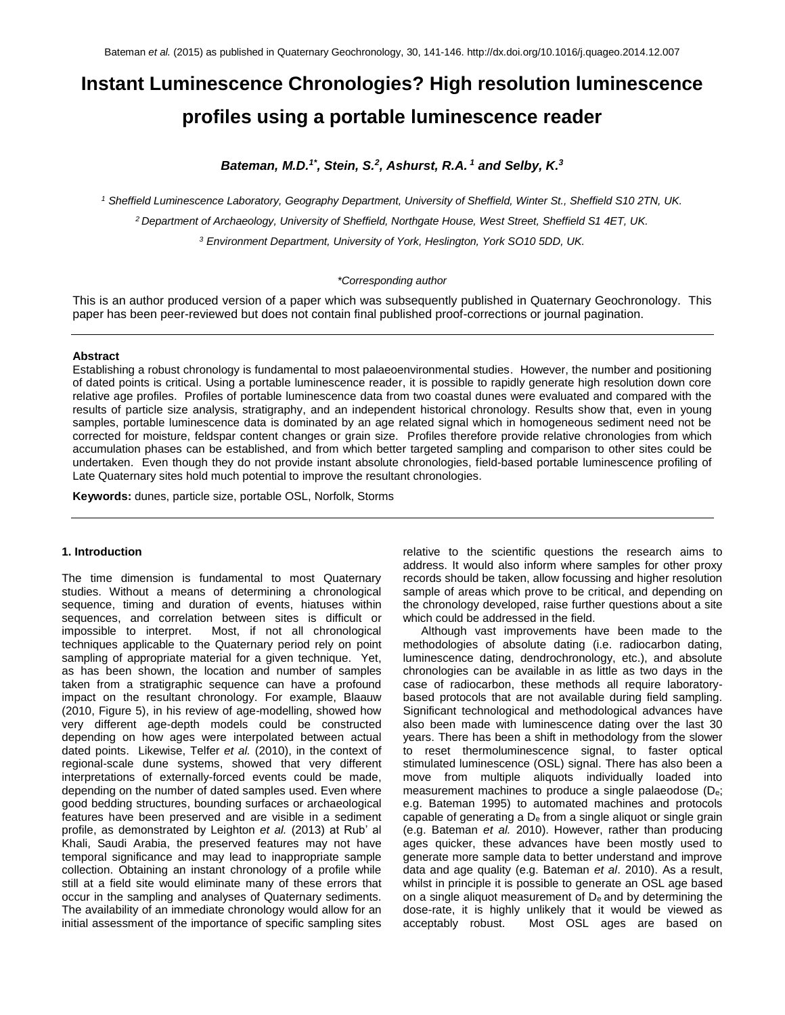# **Instant Luminescence Chronologies? High resolution luminescence profiles using a portable luminescence reader**

*Bateman, M.D.1\* , Stein, S.<sup>2</sup> , Ashurst, R.A. <sup>1</sup> and Selby, K.<sup>3</sup>*

*<sup>1</sup> Sheffield Luminescence Laboratory, Geography Department, University of Sheffield, Winter St., Sheffield S10 2TN, UK. <sup>2</sup>Department of Archaeology, University of Sheffield, Northgate House, West Street, Sheffield S1 4ET, UK. <sup>3</sup> Environment Department, University of York, Heslington, York SO10 5DD, UK.*

# *\*Corresponding author*

This is an author produced version of a paper which was subsequently published in Quaternary Geochronology. This paper has been peer-reviewed but does not contain final published proof-corrections or journal pagination.

# **Abstract**

Establishing a robust chronology is fundamental to most palaeoenvironmental studies. However, the number and positioning of dated points is critical. Using a portable luminescence reader, it is possible to rapidly generate high resolution down core relative age profiles. Profiles of portable luminescence data from two coastal dunes were evaluated and compared with the results of particle size analysis, stratigraphy, and an independent historical chronology. Results show that, even in young samples, portable luminescence data is dominated by an age related signal which in homogeneous sediment need not be corrected for moisture, feldspar content changes or grain size. Profiles therefore provide relative chronologies from which accumulation phases can be established, and from which better targeted sampling and comparison to other sites could be undertaken. Even though they do not provide instant absolute chronologies, field-based portable luminescence profiling of Late Quaternary sites hold much potential to improve the resultant chronologies.

**Keywords:** dunes, particle size, portable OSL, Norfolk, Storms

# **1. Introduction**

The time dimension is fundamental to most Quaternary studies. Without a means of determining a chronological sequence, timing and duration of events, hiatuses within sequences, and correlation between sites is difficult or impossible to interpret. Most, if not all chronological techniques applicable to the Quaternary period rely on point sampling of appropriate material for a given technique. Yet, as has been shown, the location and number of samples taken from a stratigraphic sequence can have a profound impact on the resultant chronology. For example, Blaauw (2010, Figure 5), in his review of age-modelling, showed how very different age-depth models could be constructed depending on how ages were interpolated between actual dated points. Likewise, Telfer *et al.* (2010), in the context of regional-scale dune systems, showed that very different interpretations of externally-forced events could be made, depending on the number of dated samples used. Even where good bedding structures, bounding surfaces or archaeological features have been preserved and are visible in a sediment profile, as demonstrated by Leighton *et al.* (2013) at Rub' al Khali, Saudi Arabia, the preserved features may not have temporal significance and may lead to inappropriate sample collection. Obtaining an instant chronology of a profile while still at a field site would eliminate many of these errors that occur in the sampling and analyses of Quaternary sediments. The availability of an immediate chronology would allow for an initial assessment of the importance of specific sampling sites

relative to the scientific questions the research aims to address. It would also inform where samples for other proxy records should be taken, allow focussing and higher resolution sample of areas which prove to be critical, and depending on the chronology developed, raise further questions about a site which could be addressed in the field.

Although vast improvements have been made to the methodologies of absolute dating (i.e. radiocarbon dating, luminescence dating, dendrochronology, etc.), and absolute chronologies can be available in as little as two days in the case of radiocarbon, these methods all require laboratorybased protocols that are not available during field sampling. Significant technological and methodological advances have also been made with luminescence dating over the last 30 years. There has been a shift in methodology from the slower to reset thermoluminescence signal, to faster optical stimulated luminescence (OSL) signal. There has also been a move from multiple aliquots individually loaded into measurement machines to produce a single palaeodose (De; e.g. Bateman 1995) to automated machines and protocols capable of generating a  $D<sub>e</sub>$  from a single aliquot or single grain (e.g. Bateman *et al.* 2010). However, rather than producing ages quicker, these advances have been mostly used to generate more sample data to better understand and improve data and age quality (e.g. Bateman *et al*. 2010). As a result, whilst in principle it is possible to generate an OSL age based on a single aliquot measurement of  $D<sub>e</sub>$  and by determining the dose-rate, it is highly unlikely that it would be viewed as acceptably robust. Most OSL ages are based on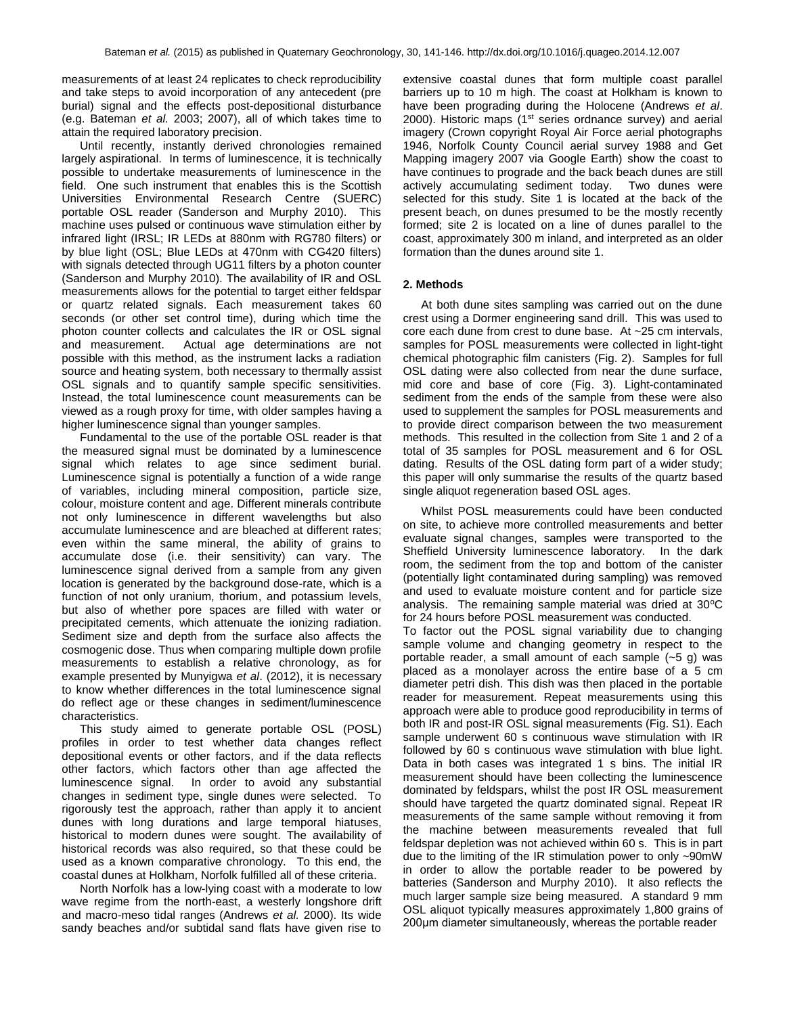measurements of at least 24 replicates to check reproducibility and take steps to avoid incorporation of any antecedent (pre burial) signal and the effects post-depositional disturbance (e.g. Bateman *et al.* 2003; 2007), all of which takes time to attain the required laboratory precision.

Until recently, instantly derived chronologies remained largely aspirational. In terms of luminescence, it is technically possible to undertake measurements of luminescence in the field. One such instrument that enables this is the Scottish Universities Environmental Research Centre (SUERC) portable OSL reader (Sanderson and Murphy 2010). This machine uses pulsed or continuous wave stimulation either by infrared light (IRSL; IR LEDs at 880nm with RG780 filters) or by blue light (OSL; Blue LEDs at 470nm with CG420 filters) with signals detected through UG11 filters by a photon counter (Sanderson and Murphy 2010). The availability of IR and OSL measurements allows for the potential to target either feldspar or quartz related signals. Each measurement takes 60 seconds (or other set control time), during which time the photon counter collects and calculates the IR or OSL signal and measurement. Actual age determinations are not possible with this method, as the instrument lacks a radiation source and heating system, both necessary to thermally assist OSL signals and to quantify sample specific sensitivities. Instead, the total luminescence count measurements can be viewed as a rough proxy for time, with older samples having a higher luminescence signal than younger samples.

Fundamental to the use of the portable OSL reader is that the measured signal must be dominated by a luminescence signal which relates to age since sediment burial. Luminescence signal is potentially a function of a wide range of variables, including mineral composition, particle size, colour, moisture content and age. Different minerals contribute not only luminescence in different wavelengths but also accumulate luminescence and are bleached at different rates; even within the same mineral, the ability of grains to accumulate dose (i.e. their sensitivity) can vary. The luminescence signal derived from a sample from any given location is generated by the background dose-rate, which is a function of not only uranium, thorium, and potassium levels, but also of whether pore spaces are filled with water or precipitated cements, which attenuate the ionizing radiation. Sediment size and depth from the surface also affects the cosmogenic dose. Thus when comparing multiple down profile measurements to establish a relative chronology, as for example presented by Munyigwa *et al*. (2012), it is necessary to know whether differences in the total luminescence signal do reflect age or these changes in sediment/luminescence characteristics.

This study aimed to generate portable OSL (POSL) profiles in order to test whether data changes reflect depositional events or other factors, and if the data reflects other factors, which factors other than age affected the luminescence signal. In order to avoid any substantial changes in sediment type, single dunes were selected. To rigorously test the approach, rather than apply it to ancient dunes with long durations and large temporal hiatuses, historical to modern dunes were sought. The availability of historical records was also required, so that these could be used as a known comparative chronology. To this end, the coastal dunes at Holkham, Norfolk fulfilled all of these criteria.

North Norfolk has a low-lying coast with a moderate to low wave regime from the north-east, a westerly longshore drift and macro-meso tidal ranges (Andrews *et al.* 2000). Its wide sandy beaches and/or subtidal sand flats have given rise to extensive coastal dunes that form multiple coast parallel barriers up to 10 m high. The coast at Holkham is known to have been prograding during the Holocene (Andrews *et al*. 2000). Historic maps  $(1<sup>st</sup>$  series ordnance survey) and aerial imagery (Crown copyright Royal Air Force aerial photographs 1946, Norfolk County Council aerial survey 1988 and Get Mapping imagery 2007 via Google Earth) show the coast to have continues to prograde and the back beach dunes are still actively accumulating sediment today. Two dunes were selected for this study. Site 1 is located at the back of the present beach, on dunes presumed to be the mostly recently formed; site 2 is located on a line of dunes parallel to the coast, approximately 300 m inland, and interpreted as an older formation than the dunes around site 1.

# **2. Methods**

At both dune sites sampling was carried out on the dune crest using a Dormer engineering sand drill. This was used to core each dune from crest to dune base. At ~25 cm intervals, samples for POSL measurements were collected in light-tight chemical photographic film canisters (Fig. 2). Samples for full OSL dating were also collected from near the dune surface, mid core and base of core (Fig. 3). Light-contaminated sediment from the ends of the sample from these were also used to supplement the samples for POSL measurements and to provide direct comparison between the two measurement methods. This resulted in the collection from Site 1 and 2 of a total of 35 samples for POSL measurement and 6 for OSL dating. Results of the OSL dating form part of a wider study; this paper will only summarise the results of the quartz based single aliquot regeneration based OSL ages.

Whilst POSL measurements could have been conducted on site, to achieve more controlled measurements and better evaluate signal changes, samples were transported to the Sheffield University luminescence laboratory. In the dark room, the sediment from the top and bottom of the canister (potentially light contaminated during sampling) was removed and used to evaluate moisture content and for particle size analysis. The remaining sample material was dried at  $30^{\circ}$ C for 24 hours before POSL measurement was conducted. To factor out the POSL signal variability due to changing sample volume and changing geometry in respect to the portable reader, a small amount of each sample (~5 g) was placed as a monolayer across the entire base of a 5 cm diameter petri dish. This dish was then placed in the portable reader for measurement. Repeat measurements using this approach were able to produce good reproducibility in terms of both IR and post-IR OSL signal measurements (Fig. S1). Each sample underwent 60 s continuous wave stimulation with IR followed by 60 s continuous wave stimulation with blue light. Data in both cases was integrated 1 s bins. The initial IR measurement should have been collecting the luminescence dominated by feldspars, whilst the post IR OSL measurement should have targeted the quartz dominated signal. Repeat IR measurements of the same sample without removing it from the machine between measurements revealed that full feldspar depletion was not achieved within 60 s. This is in part due to the limiting of the IR stimulation power to only ~90mW in order to allow the portable reader to be powered by batteries (Sanderson and Murphy 2010). It also reflects the much larger sample size being measured. A standard 9 mm OSL aliquot typically measures approximately 1,800 grains of 200μm diameter simultaneously, whereas the portable reader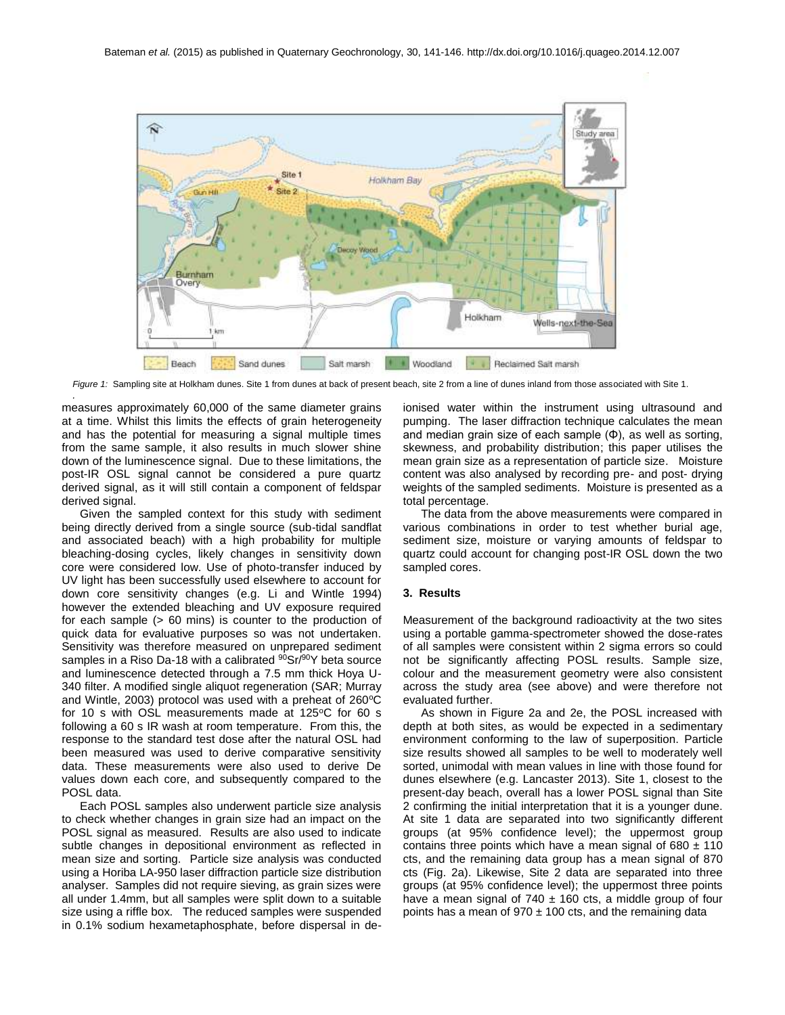

*Figure 1:* Sampling site at Holkham dunes. Site 1 from dunes at back of present beach, site 2 from a line of dunes inland from those associated with Site 1.

measures approximately 60,000 of the same diameter grains at a time. Whilst this limits the effects of grain heterogeneity and has the potential for measuring a signal multiple times from the same sample, it also results in much slower shine down of the luminescence signal. Due to these limitations, the post-IR OSL signal cannot be considered a pure quartz derived signal, as it will still contain a component of feldspar derived signal.

*.*

Given the sampled context for this study with sediment being directly derived from a single source (sub-tidal sandflat and associated beach) with a high probability for multiple bleaching-dosing cycles, likely changes in sensitivity down core were considered low. Use of photo-transfer induced by UV light has been successfully used elsewhere to account for down core sensitivity changes (e.g. Li and Wintle 1994) however the extended bleaching and UV exposure required for each sample (> 60 mins) is counter to the production of quick data for evaluative purposes so was not undertaken. Sensitivity was therefore measured on unprepared sediment samples in a Riso Da-18 with a calibrated <sup>90</sup>Sr/<sup>90</sup>Y beta source and luminescence detected through a 7.5 mm thick Hoya U-340 filter. A modified single aliquot regeneration (SAR; Murray and Wintle, 2003) protocol was used with a preheat of  $260^{\circ}$ C for 10 s with OSL measurements made at  $125^{\circ}$ C for 60 s following a 60 s IR wash at room temperature. From this, the response to the standard test dose after the natural OSL had been measured was used to derive comparative sensitivity data. These measurements were also used to derive De values down each core, and subsequently compared to the POSL data.

Each POSL samples also underwent particle size analysis to check whether changes in grain size had an impact on the POSL signal as measured. Results are also used to indicate subtle changes in depositional environment as reflected in mean size and sorting. Particle size analysis was conducted using a Horiba LA-950 laser diffraction particle size distribution analyser. Samples did not require sieving, as grain sizes were all under 1.4mm, but all samples were split down to a suitable size using a riffle box. The reduced samples were suspended in 0.1% sodium hexametaphosphate, before dispersal in deionised water within the instrument using ultrasound and pumping. The laser diffraction technique calculates the mean and median grain size of each sample (Φ), as well as sorting, skewness, and probability distribution; this paper utilises the mean grain size as a representation of particle size. Moisture content was also analysed by recording pre- and post- drying weights of the sampled sediments. Moisture is presented as a total percentage.

The data from the above measurements were compared in various combinations in order to test whether burial age, sediment size, moisture or varying amounts of feldspar to quartz could account for changing post-IR OSL down the two sampled cores.

### **3. Results**

Measurement of the background radioactivity at the two sites using a portable gamma-spectrometer showed the dose-rates of all samples were consistent within 2 sigma errors so could not be significantly affecting POSL results. Sample size, colour and the measurement geometry were also consistent across the study area (see above) and were therefore not evaluated further.

As shown in Figure 2a and 2e, the POSL increased with depth at both sites, as would be expected in a sedimentary environment conforming to the law of superposition. Particle size results showed all samples to be well to moderately well sorted, unimodal with mean values in line with those found for dunes elsewhere (e.g. Lancaster 2013). Site 1, closest to the present-day beach, overall has a lower POSL signal than Site 2 confirming the initial interpretation that it is a younger dune. At site 1 data are separated into two significantly different groups (at 95% confidence level); the uppermost group contains three points which have a mean signal of  $680 \pm 110$ cts, and the remaining data group has a mean signal of 870 cts (Fig. 2a). Likewise, Site 2 data are separated into three groups (at 95% confidence level); the uppermost three points have a mean signal of  $740 \pm 160$  cts, a middle group of four points has a mean of  $970 \pm 100$  cts, and the remaining data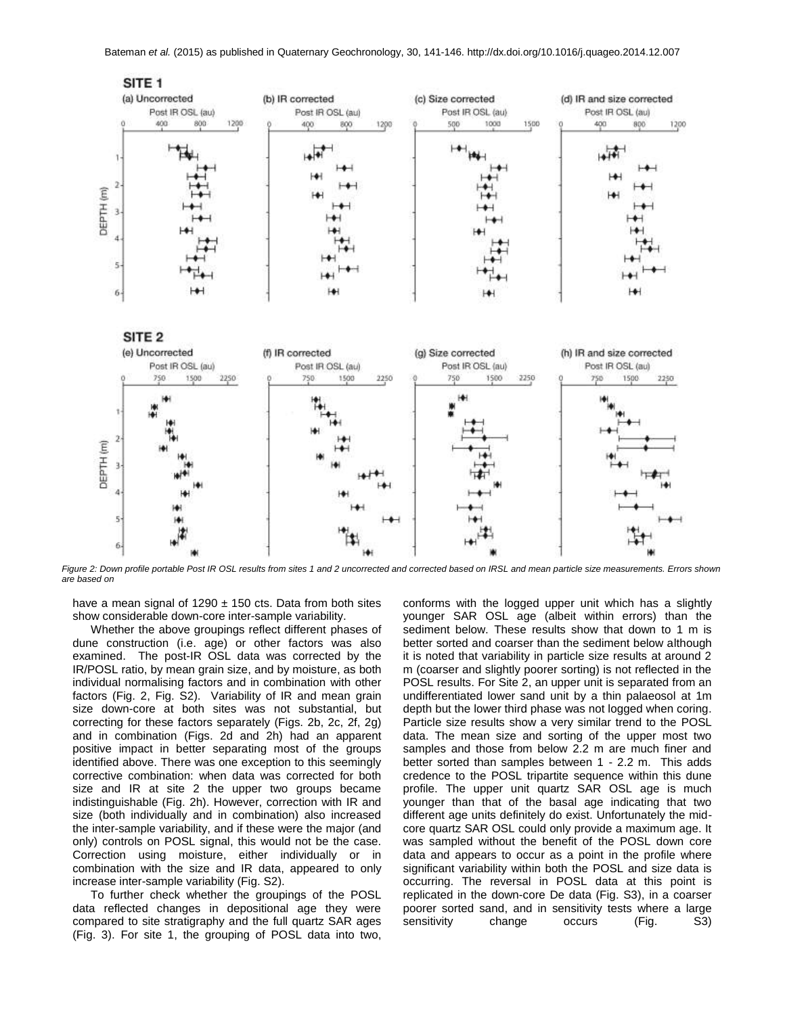

Figure 2: Down profile portable Post IR OSL results from sites 1 and 2 uncorrected and corrected based on IRSL and mean particle size measurements. Errors shown *are based on*

have a mean signal of 1290  $\pm$  150 cts. Data from both sites show considerable down-core inter-sample variability.

Whether the above groupings reflect different phases of dune construction (i.e. age) or other factors was also examined. The post-IR OSL data was corrected by the IR/POSL ratio, by mean grain size, and by moisture, as both individual normalising factors and in combination with other factors (Fig. 2, Fig. S2). Variability of IR and mean grain size down-core at both sites was not substantial, but correcting for these factors separately (Figs. 2b, 2c, 2f, 2g) and in combination (Figs. 2d and 2h) had an apparent positive impact in better separating most of the groups identified above. There was one exception to this seemingly corrective combination: when data was corrected for both size and IR at site 2 the upper two groups became indistinguishable (Fig. 2h). However, correction with IR and size (both individually and in combination) also increased the inter-sample variability, and if these were the major (and only) controls on POSL signal, this would not be the case. Correction using moisture, either individually or in combination with the size and IR data, appeared to only increase inter-sample variability (Fig. S2).

To further check whether the groupings of the POSL data reflected changes in depositional age they were compared to site stratigraphy and the full quartz SAR ages (Fig. 3). For site 1, the grouping of POSL data into two,

conforms with the logged upper unit which has a slightly younger SAR OSL age (albeit within errors) than the sediment below. These results show that down to 1 m is better sorted and coarser than the sediment below although it is noted that variability in particle size results at around 2 m (coarser and slightly poorer sorting) is not reflected in the POSL results. For Site 2, an upper unit is separated from an undifferentiated lower sand unit by a thin palaeosol at 1m depth but the lower third phase was not logged when coring. Particle size results show a very similar trend to the POSL data. The mean size and sorting of the upper most two samples and those from below 2.2 m are much finer and better sorted than samples between 1 - 2.2 m. This adds credence to the POSL tripartite sequence within this dune profile. The upper unit quartz SAR OSL age is much younger than that of the basal age indicating that two different age units definitely do exist. Unfortunately the midcore quartz SAR OSL could only provide a maximum age. It was sampled without the benefit of the POSL down core data and appears to occur as a point in the profile where significant variability within both the POSL and size data is occurring. The reversal in POSL data at this point is replicated in the down-core De data (Fig. S3), in a coarser poorer sorted sand, and in sensitivity tests where a large sensitivity change occurs (Fig. S3)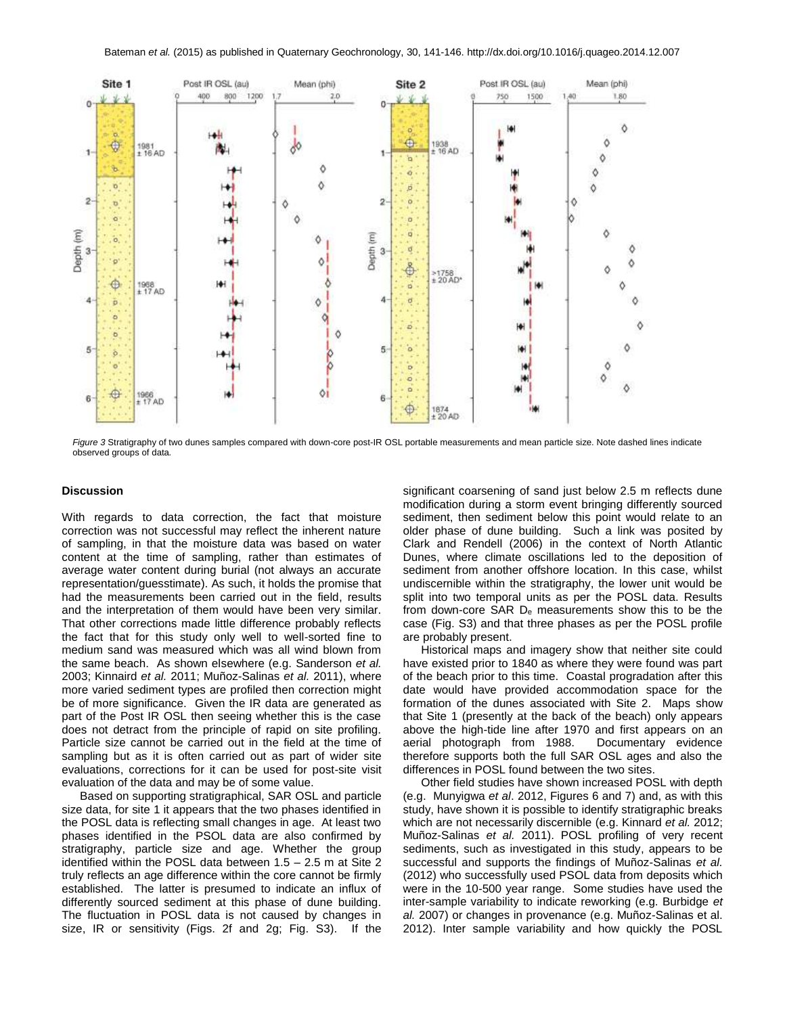

*Figure 3* Stratigraphy of two dunes samples compared with down-core post-IR OSL portable measurements and mean particle size. Note dashed lines indicate observed groups of data*.*

#### **Discussion**

With regards to data correction, the fact that moisture correction was not successful may reflect the inherent nature of sampling, in that the moisture data was based on water content at the time of sampling, rather than estimates of average water content during burial (not always an accurate representation/guesstimate). As such, it holds the promise that had the measurements been carried out in the field, results and the interpretation of them would have been very similar. That other corrections made little difference probably reflects the fact that for this study only well to well-sorted fine to medium sand was measured which was all wind blown from the same beach. As shown elsewhere (e.g. Sanderson *et al.* 2003; Kinnaird *et al.* 2011; Muñoz-Salinas *et al.* 2011), where more varied sediment types are profiled then correction might be of more significance. Given the IR data are generated as part of the Post IR OSL then seeing whether this is the case does not detract from the principle of rapid on site profiling. Particle size cannot be carried out in the field at the time of sampling but as it is often carried out as part of wider site evaluations, corrections for it can be used for post-site visit evaluation of the data and may be of some value.

Based on supporting stratigraphical, SAR OSL and particle size data, for site 1 it appears that the two phases identified in the POSL data is reflecting small changes in age. At least two phases identified in the PSOL data are also confirmed by stratigraphy, particle size and age. Whether the group identified within the POSL data between 1.5 – 2.5 m at Site 2 truly reflects an age difference within the core cannot be firmly established. The latter is presumed to indicate an influx of differently sourced sediment at this phase of dune building. The fluctuation in POSL data is not caused by changes in size, IR or sensitivity (Figs. 2f and 2g; Fig. S3). If the

significant coarsening of sand just below 2.5 m reflects dune modification during a storm event bringing differently sourced sediment, then sediment below this point would relate to an older phase of dune building. Such a link was posited by Clark and Rendell (2006) in the context of North Atlantic Dunes, where climate oscillations led to the deposition of sediment from another offshore location. In this case, whilst undiscernible within the stratigraphy, the lower unit would be split into two temporal units as per the POSL data. Results from down-core SAR  $D_e$  measurements show this to be the case (Fig. S3) and that three phases as per the POSL profile are probably present.

Historical maps and imagery show that neither site could have existed prior to 1840 as where they were found was part of the beach prior to this time. Coastal progradation after this date would have provided accommodation space for the formation of the dunes associated with Site 2. Maps show that Site 1 (presently at the back of the beach) only appears above the high-tide line after 1970 and first appears on an aerial photograph from 1988. Documentary evidence therefore supports both the full SAR OSL ages and also the differences in POSL found between the two sites.

Other field studies have shown increased POSL with depth (e.g. Munyigwa *et al*. 2012, Figures 6 and 7) and, as with this study, have shown it is possible to identify stratigraphic breaks which are not necessarily discernible (e.g. Kinnard *et al.* 2012; Muñoz-Salinas *et al.* 2011). POSL profiling of very recent sediments, such as investigated in this study, appears to be successful and supports the findings of Muñoz-Salinas *et al.* (2012) who successfully used PSOL data from deposits which were in the 10-500 year range. Some studies have used the inter-sample variability to indicate reworking (e.g. Burbidge *et al.* 2007) or changes in provenance (e.g. Muñoz-Salinas et al. 2012). Inter sample variability and how quickly the POSL